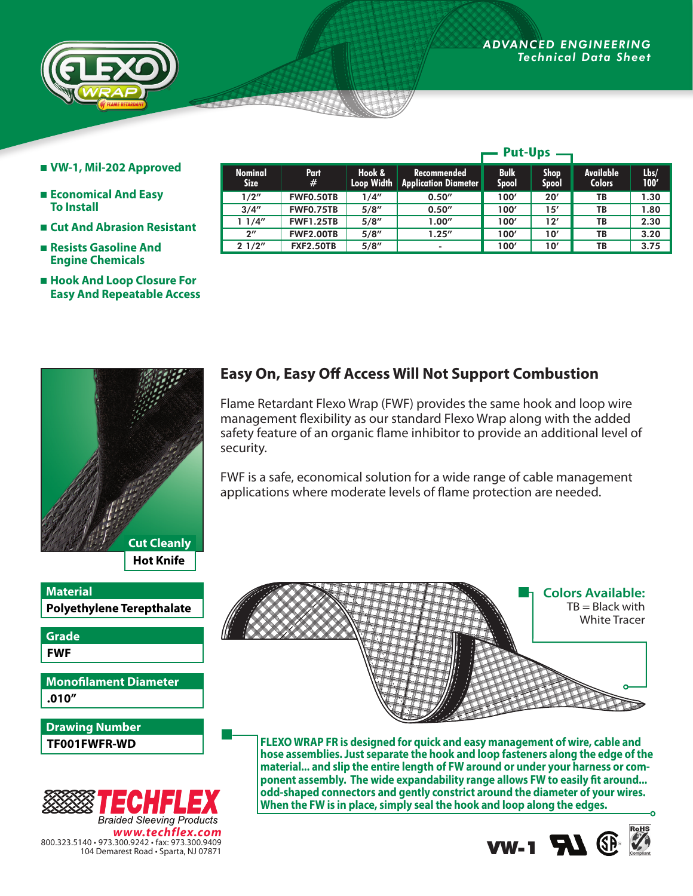

- **VW-1, Mil-202 Approved**
- **Economical And Easy To Install**
- **Cut And Abrasion Resistant**
- **Resists Gasoline And Engine Chemicals**
- **Hook And Loop Closure For Easy And Repeatable Access**

| <b>Cut Cleanly</b> |
|--------------------|
| <b>Hot Knife</b>   |

**Polyethylene Terepthalate Material**

**FWF Grade**

**.010" Monofilament Diameter**

**TF001FWFR-WD Drawing Number**



|                               |                  | <b>Put-Ups</b>              |                                            |                             |                             |                            |              |
|-------------------------------|------------------|-----------------------------|--------------------------------------------|-----------------------------|-----------------------------|----------------------------|--------------|
| <b>Nominal</b><br><b>Size</b> | <b>Part</b><br># | Hook &<br><b>Loop Width</b> | Recommended<br><b>Application Diameter</b> | <b>Bulk</b><br><b>Spool</b> | <b>Shop</b><br><b>Spool</b> | Available<br><b>Colors</b> | Lbs/<br>100' |
| 1/2"                          | FWF0.50TB        | 1/4"                        | 0.50''                                     | 100'                        | 20'                         | TB                         | 1.30         |
| 3/4''                         | FWF0.75TB        | 5/8''                       | 0.50''                                     | 100'                        | 15'                         | TB                         | 1.80         |
| 1/4"                          | <b>FWF1.25TB</b> | 5/8''                       | 1.00''                                     | 100'                        | 12'                         | TB                         | 2.30         |
| $2^{\prime\prime}$            | <b>FWF2.00TB</b> | 5/8''                       | 1.25''                                     | 100'                        | 10'                         | TB                         | 3.20         |
| 21/2"                         | <b>FXF2.50TB</b> | 5/8''                       | ٠                                          | 100'                        | 10'                         | TB                         | 3.75         |

## **Easy On, Easy Off Access Will Not Support Combustion**

Flame Retardant Flexo Wrap (FWF) provides the same hook and loop wire management flexibility as our standard Flexo Wrap along with the added safety feature of an organic flame inhibitor to provide an additional level of security.

FWF is a safe, economical solution for a wide range of cable management applications where moderate levels of flame protection are needed.



**FLEXO WRAP FR is designed for quick and easy management of wire, cable and hose assemblies. Just separate the hook and loop fasteners along the edge of the material... and slip the entire length of FW around or under your harness or component assembly. The wide expandability range allows FW to easily fit around... odd-shaped connectors and gently constrict around the diameter of your wires. When the FW is in place, simply seal the hook and loop along the edges.**